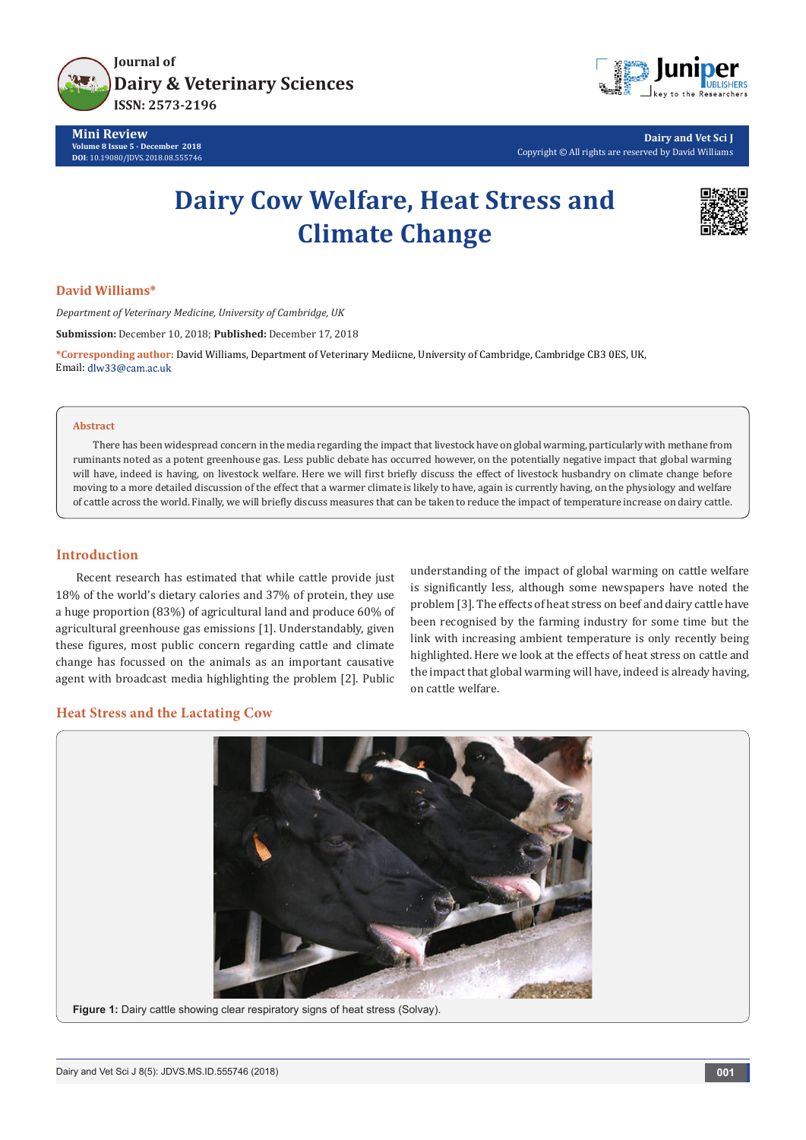

**Mini Review Volume 8 Issue 5 - December 2018 DOI**[: 10.19080/JDVS.2018.08.555746](http://dx.doi.org/10.19080/JDVS.2018.08.555746)



**Dairy and Vet Sci J** Copyright © All rights are reserved by David Williams

# **Dairy Cow Welfare, Heat Stress and Climate Change**



## **David Williams\***

*Department of Veterinary Medicine, University of Cambridge, UK*

**Submission:** December 10, 2018; **Published:** December 17, 2018

**\*Corresponding author:** David Williams, Department of Veterinary Mediicne, University of Cambridge, Cambridge CB3 0ES, UK, Email: dlw33@cam.ac.uk

#### **Abstract**

There has been widespread concern in the media regarding the impact that livestock have on global warming, particularly with methane from ruminants noted as a potent greenhouse gas. Less public debate has occurred however, on the potentially negative impact that global warming will have, indeed is having, on livestock welfare. Here we will first briefly discuss the effect of livestock husbandry on climate change before moving to a more detailed discussion of the effect that a warmer climate is likely to have, again is currently having, on the physiology and welfare of cattle across the world. Finally, we will briefly discuss measures that can be taken to reduce the impact of temperature increase on dairy cattle.

## **Introduction**

Recent research has estimated that while cattle provide just 18% of the world's dietary calories and 37% of protein, they use a huge proportion (83%) of agricultural land and produce 60% of agricultural greenhouse gas emissions [1]. Understandably, given these figures, most public concern regarding cattle and climate change has focussed on the animals as an important causative agent with broadcast media highlighting the problem [2]. Public understanding of the impact of global warming on cattle welfare is significantly less, although some newspapers have noted the problem [3]. The effects of heat stress on beef and dairy cattle have been recognised by the farming industry for some time but the link with increasing ambient temperature is only recently being highlighted. Here we look at the effects of heat stress on cattle and the impact that global warming will have, indeed is already having, on cattle welfare.

## **Heat Stress and the Lactating Cow**

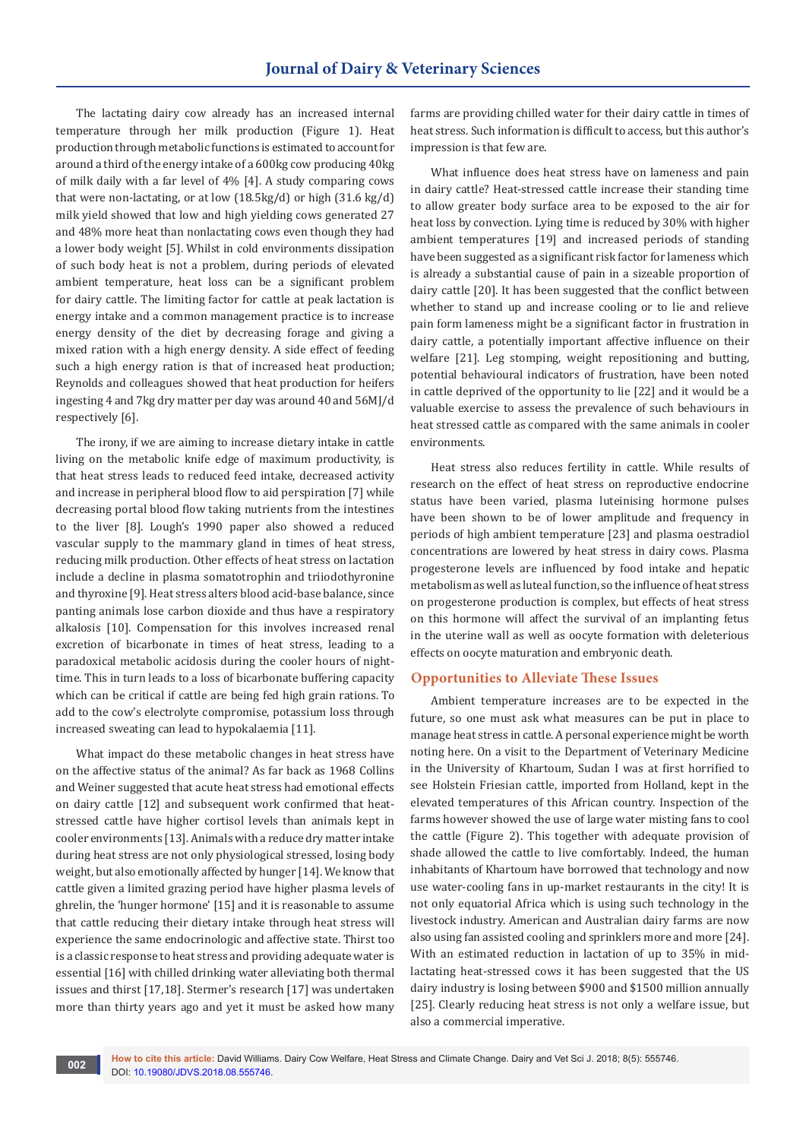The lactating dairy cow already has an increased internal temperature through her milk production (Figure 1). Heat production through metabolic functions is estimated to account for around a third of the energy intake of a 600kg cow producing 40kg of milk daily with a far level of 4% [4]. A study comparing cows that were non-lactating, or at low (18.5kg/d) or high (31.6 kg/d) milk yield showed that low and high yielding cows generated 27 and 48% more heat than nonlactating cows even though they had a lower body weight [5]. Whilst in cold environments dissipation of such body heat is not a problem, during periods of elevated ambient temperature, heat loss can be a significant problem for dairy cattle. The limiting factor for cattle at peak lactation is energy intake and a common management practice is to increase energy density of the diet by decreasing forage and giving a mixed ration with a high energy density. A side effect of feeding such a high energy ration is that of increased heat production; Reynolds and colleagues showed that heat production for heifers ingesting 4 and 7kg dry matter per day was around 40 and 56MJ/d respectively [6].

The irony, if we are aiming to increase dietary intake in cattle living on the metabolic knife edge of maximum productivity, is that heat stress leads to reduced feed intake, decreased activity and increase in peripheral blood flow to aid perspiration [7] while decreasing portal blood flow taking nutrients from the intestines to the liver [8]. Lough's 1990 paper also showed a reduced vascular supply to the mammary gland in times of heat stress, reducing milk production. Other effects of heat stress on lactation include a decline in plasma somatotrophin and triiodothyronine and thyroxine [9]. Heat stress alters blood acid-base balance, since panting animals lose carbon dioxide and thus have a respiratory alkalosis [10]. Compensation for this involves increased renal excretion of bicarbonate in times of heat stress, leading to a paradoxical metabolic acidosis during the cooler hours of nighttime. This in turn leads to a loss of bicarbonate buffering capacity which can be critical if cattle are being fed high grain rations. To add to the cow's electrolyte compromise, potassium loss through increased sweating can lead to hypokalaemia [11].

What impact do these metabolic changes in heat stress have on the affective status of the animal? As far back as 1968 Collins and Weiner suggested that acute heat stress had emotional effects on dairy cattle [12] and subsequent work confirmed that heatstressed cattle have higher cortisol levels than animals kept in cooler environments [13]. Animals with a reduce dry matter intake during heat stress are not only physiological stressed, losing body weight, but also emotionally affected by hunger [14]. We know that cattle given a limited grazing period have higher plasma levels of ghrelin, the 'hunger hormone' [15] and it is reasonable to assume that cattle reducing their dietary intake through heat stress will experience the same endocrinologic and affective state. Thirst too is a classic response to heat stress and providing adequate water is essential [16] with chilled drinking water alleviating both thermal issues and thirst [17,18]. Stermer's research [17] was undertaken more than thirty years ago and yet it must be asked how many

farms are providing chilled water for their dairy cattle in times of heat stress. Such information is difficult to access, but this author's impression is that few are.

What influence does heat stress have on lameness and pain in dairy cattle? Heat-stressed cattle increase their standing time to allow greater body surface area to be exposed to the air for heat loss by convection. Lying time is reduced by 30% with higher ambient temperatures [19] and increased periods of standing have been suggested as a significant risk factor for lameness which is already a substantial cause of pain in a sizeable proportion of dairy cattle [20]. It has been suggested that the conflict between whether to stand up and increase cooling or to lie and relieve pain form lameness might be a significant factor in frustration in dairy cattle, a potentially important affective influence on their welfare [21]. Leg stomping, weight repositioning and butting, potential behavioural indicators of frustration, have been noted in cattle deprived of the opportunity to lie [22] and it would be a valuable exercise to assess the prevalence of such behaviours in heat stressed cattle as compared with the same animals in cooler environments.

Heat stress also reduces fertility in cattle. While results of research on the effect of heat stress on reproductive endocrine status have been varied, plasma luteinising hormone pulses have been shown to be of lower amplitude and frequency in periods of high ambient temperature [23] and plasma oestradiol concentrations are lowered by heat stress in dairy cows. Plasma progesterone levels are influenced by food intake and hepatic metabolism as well as luteal function, so the influence of heat stress on progesterone production is complex, but effects of heat stress on this hormone will affect the survival of an implanting fetus in the uterine wall as well as oocyte formation with deleterious effects on oocyte maturation and embryonic death.

#### **Opportunities to Alleviate These Issues**

Ambient temperature increases are to be expected in the future, so one must ask what measures can be put in place to manage heat stress in cattle. A personal experience might be worth noting here. On a visit to the Department of Veterinary Medicine in the University of Khartoum, Sudan I was at first horrified to see Holstein Friesian cattle, imported from Holland, kept in the elevated temperatures of this African country. Inspection of the farms however showed the use of large water misting fans to cool the cattle (Figure 2). This together with adequate provision of shade allowed the cattle to live comfortably. Indeed, the human inhabitants of Khartoum have borrowed that technology and now use water-cooling fans in up-market restaurants in the city! It is not only equatorial Africa which is using such technology in the livestock industry. American and Australian dairy farms are now also using fan assisted cooling and sprinklers more and more [24]. With an estimated reduction in lactation of up to 35% in midlactating heat-stressed cows it has been suggested that the US dairy industry is losing between \$900 and \$1500 million annually [25]. Clearly reducing heat stress is not only a welfare issue, but also a commercial imperative.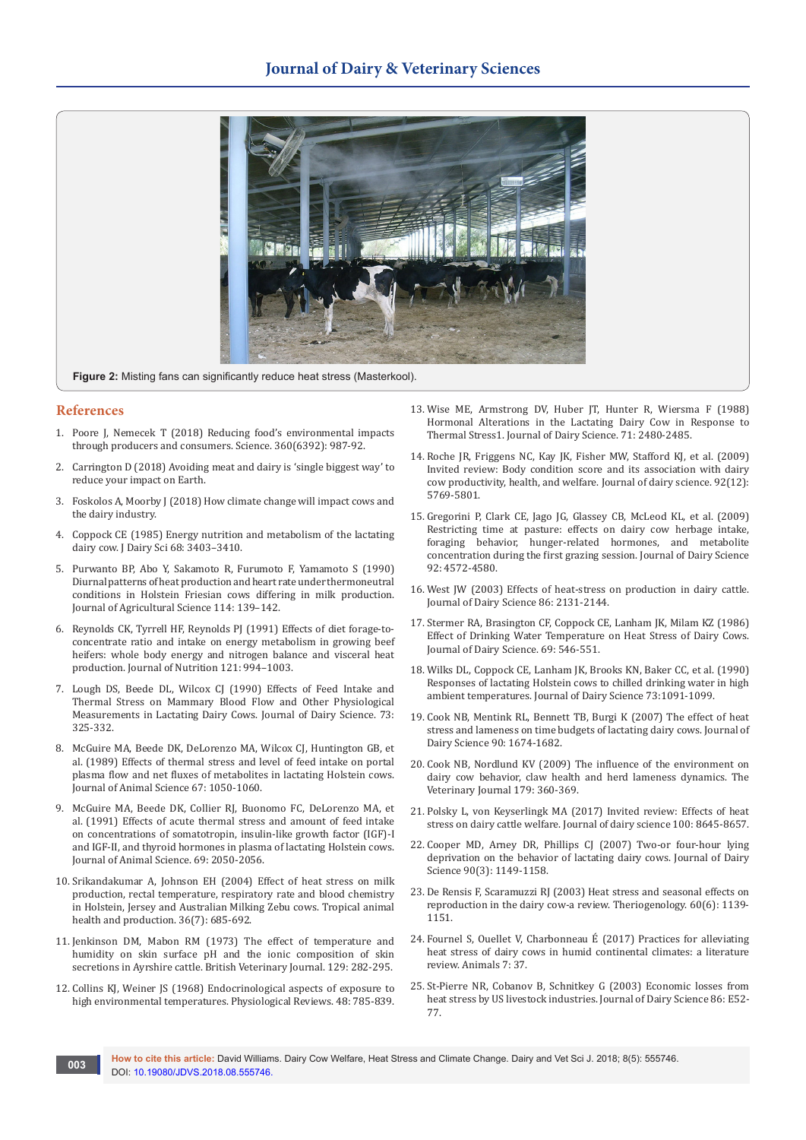

**Figure 2:** Misting fans can significantly reduce heat stress (Masterkool).

#### **References**

- 1. [Poore J, Nemecek T \(2018\) Reducing food's environmental impacts](http://science.sciencemag.org/content/360/6392/987)  [through producers and consumers. Science. 360\(6392\): 987-92.](http://science.sciencemag.org/content/360/6392/987)
- 2. Carrington D (2018) Avoiding meat and dairy is 'single biggest way' to reduce your impact on Earth.
- 3. Foskolos A, Moorby J (2018) How climate change will impact cows and the dairy industry.
- 4. [Coppock CE \(1985\) Energy nutrition and metabolism of the lactating](https://www.sciencedirect.com/science/article/pii/S0022030285812534)  [dairy cow. J Dairy Sci 68: 3403–3410.](https://www.sciencedirect.com/science/article/pii/S0022030285812534)
- 5. [Purwanto BP, Abo Y, Sakamoto R, Furumoto F, Yamamoto S \(1990\)](https://www.cambridge.org/core/journals/journal-of-agricultural-science/article/diurnal-patterns-of-heat-production-and-heart-rate-under-thermoneutral-conditions-in-holstein-friesian-cows-differing-in-milk-production/8B9AAA94F35CABDEBD7EC84DED069884)  [Diurnal patterns of heat production and heart rate under thermoneutral](https://www.cambridge.org/core/journals/journal-of-agricultural-science/article/diurnal-patterns-of-heat-production-and-heart-rate-under-thermoneutral-conditions-in-holstein-friesian-cows-differing-in-milk-production/8B9AAA94F35CABDEBD7EC84DED069884)  [conditions in Holstein Friesian cows differing in milk production.](https://www.cambridge.org/core/journals/journal-of-agricultural-science/article/diurnal-patterns-of-heat-production-and-heart-rate-under-thermoneutral-conditions-in-holstein-friesian-cows-differing-in-milk-production/8B9AAA94F35CABDEBD7EC84DED069884)  [Journal of Agricultural Science 114: 139–142.](https://www.cambridge.org/core/journals/journal-of-agricultural-science/article/diurnal-patterns-of-heat-production-and-heart-rate-under-thermoneutral-conditions-in-holstein-friesian-cows-differing-in-milk-production/8B9AAA94F35CABDEBD7EC84DED069884)
- 6. [Reynolds CK, Tyrrell HF, Reynolds PJ \(1991\) Effects of diet forage-to](https://www.ncbi.nlm.nih.gov/pubmed/2051243)[concentrate ratio and intake on energy metabolism in growing beef](https://www.ncbi.nlm.nih.gov/pubmed/2051243)  [heifers: whole body energy and nitrogen balance and visceral heat](https://www.ncbi.nlm.nih.gov/pubmed/2051243)  [production. Journal of Nutrition 121: 994–1003.](https://www.ncbi.nlm.nih.gov/pubmed/2051243)
- 7. [Lough DS, Beede DL, Wilcox CJ \(1990\) Effects of Feed Intake and](https://www.ncbi.nlm.nih.gov/pubmed/2329200)  [Thermal Stress on Mammary Blood Flow and Other Physiological](https://www.ncbi.nlm.nih.gov/pubmed/2329200)  [Measurements in Lactating Dairy Cows. Journal of Dairy Science. 73:](https://www.ncbi.nlm.nih.gov/pubmed/2329200)  [325-332.](https://www.ncbi.nlm.nih.gov/pubmed/2329200)
- 8. [McGuire MA, Beede DK, DeLorenzo MA, Wilcox CJ, Huntington GB, et](https://www.ncbi.nlm.nih.gov/pubmed/2715110)  [al. \(1989\) Effects of thermal stress and level of feed intake on portal](https://www.ncbi.nlm.nih.gov/pubmed/2715110)  [plasma flow and net fluxes of metabolites in lactating Holstein cows.](https://www.ncbi.nlm.nih.gov/pubmed/2715110)  [Journal of Animal Science 67: 1050-1060.](https://www.ncbi.nlm.nih.gov/pubmed/2715110)
- 9. [McGuire MA, Beede DK, Collier RJ, Buonomo FC, DeLorenzo MA, et](https://www.ncbi.nlm.nih.gov/pubmed/2066314)  [al. \(1991\) Effects of acute thermal stress and amount of feed intake](https://www.ncbi.nlm.nih.gov/pubmed/2066314)  [on concentrations of somatotropin, insulin-like growth factor \(IGF\)-I](https://www.ncbi.nlm.nih.gov/pubmed/2066314)  [and IGF-II, and thyroid hormones in plasma of lactating Holstein cows.](https://www.ncbi.nlm.nih.gov/pubmed/2066314)  [Journal of Animal Science. 69: 2050-2056.](https://www.ncbi.nlm.nih.gov/pubmed/2066314)
- 10. [Srikandakumar A, Johnson EH \(2004\) Effect of heat stress on milk](https://www.ncbi.nlm.nih.gov/pubmed/15563029)  [production, rectal temperature, respiratory rate and blood chemistry](https://www.ncbi.nlm.nih.gov/pubmed/15563029)  [in Holstein, Jersey and Australian Milking Zebu cows. Tropical animal](https://www.ncbi.nlm.nih.gov/pubmed/15563029)  [health and production. 36\(7\): 685-692.](https://www.ncbi.nlm.nih.gov/pubmed/15563029)
- 11. [Jenkinson DM, Mabon RM \(1973\) The effect of temperature and](https://www.ncbi.nlm.nih.gov/pubmed/4728197)  [humidity on skin surface pH and the ionic composition of skin](https://www.ncbi.nlm.nih.gov/pubmed/4728197)  [secretions in Ayrshire cattle. British Veterinary Journal. 129: 282-295.](https://www.ncbi.nlm.nih.gov/pubmed/4728197)
- 12. [Collins KJ, Weiner JS \(1968\) Endocrinological aspects of exposure to](https://www.ncbi.nlm.nih.gov/pubmed/4881390)  [high environmental temperatures. Physiological Reviews. 48: 785-839.](https://www.ncbi.nlm.nih.gov/pubmed/4881390)
- 13. [Wise ME, Armstrong DV, Huber JT, Hunter R, Wiersma F \(1988\)](https://www.ncbi.nlm.nih.gov/pubmed/3183143)  [Hormonal Alterations in the Lactating Dairy Cow in Response to](https://www.ncbi.nlm.nih.gov/pubmed/3183143)  [Thermal Stress1. Journal of Dairy Science. 71: 2480-2485.](https://www.ncbi.nlm.nih.gov/pubmed/3183143)
- 14. [Roche JR, Friggens NC, Kay JK, Fisher MW, Stafford KJ, et al. \(2009\)](https://www.ncbi.nlm.nih.gov/pubmed/19923585)  [Invited review: Body condition score and its association with dairy](https://www.ncbi.nlm.nih.gov/pubmed/19923585)  [cow productivity, health, and welfare. Journal of dairy science. 92\(12\):](https://www.ncbi.nlm.nih.gov/pubmed/19923585)  [5769-5801.](https://www.ncbi.nlm.nih.gov/pubmed/19923585)
- 15. [Gregorini P, Clark CE, Jago JG, Glassey CB, McLeod KL, et al. \(2009\)](https://www.ncbi.nlm.nih.gov/pubmed/19700720)  [Restricting time at pasture: effects on dairy cow herbage intake,](https://www.ncbi.nlm.nih.gov/pubmed/19700720)  [foraging behavior, hunger-related hormones, and metabolite](https://www.ncbi.nlm.nih.gov/pubmed/19700720)  [concentration during the first grazing session. Journal of Dairy Science](https://www.ncbi.nlm.nih.gov/pubmed/19700720)  [92: 4572-4580.](https://www.ncbi.nlm.nih.gov/pubmed/19700720)
- 16. [West JW \(2003\) Effects of heat-stress on production in dairy cattle.](https://www.ncbi.nlm.nih.gov/pubmed/12836950)  [Journal of Dairy Science 86: 2131-2144.](https://www.ncbi.nlm.nih.gov/pubmed/12836950)
- 17. [Stermer RA, Brasington CF, Coppock CE, Lanham JK, Milam KZ \(1986\)](https://www.ncbi.nlm.nih.gov/pubmed/3700796)  [Effect of Drinking Water Temperature on Heat Stress of Dairy Cows.](https://www.ncbi.nlm.nih.gov/pubmed/3700796)  [Journal of Dairy Science. 69: 546-551.](https://www.ncbi.nlm.nih.gov/pubmed/3700796)
- 18. [Wilks DL, Coppock CE, Lanham JK, Brooks KN, Baker CC, et al. \(1990\)](https://www.ncbi.nlm.nih.gov/pubmed/2345198)  [Responses of lactating Holstein cows to chilled drinking water in high](https://www.ncbi.nlm.nih.gov/pubmed/2345198)  [ambient temperatures. Journal of Dairy Science 73:1091-1099.](https://www.ncbi.nlm.nih.gov/pubmed/2345198)
- 19. [Cook NB, Mentink RL, Bennett TB, Burgi K \(2007\) The effect of heat](https://www.ncbi.nlm.nih.gov/pubmed/17369207)  [stress and lameness on time budgets of lactating dairy cows. Journal of](https://www.ncbi.nlm.nih.gov/pubmed/17369207)  [Dairy Science 90: 1674-1682.](https://www.ncbi.nlm.nih.gov/pubmed/17369207)
- 20. [Cook NB, Nordlund KV \(2009\) The influence of the environment on](https://www.ncbi.nlm.nih.gov/pubmed/17983785)  [dairy cow behavior, claw health and herd lameness dynamics. The](https://www.ncbi.nlm.nih.gov/pubmed/17983785)  [Veterinary Journal 179: 360-369.](https://www.ncbi.nlm.nih.gov/pubmed/17983785)
- 21. [Polsky L, von Keyserlingk MA \(2017\) Invited review: Effects of heat](https://www.ncbi.nlm.nih.gov/pubmed/28918147)  [stress on dairy cattle welfare. Journal of dairy science 100: 8645-8657.](https://www.ncbi.nlm.nih.gov/pubmed/28918147)
- 22. [Cooper MD, Arney DR, Phillips CJ \(2007\) Two-or four-hour lying](https://www.ncbi.nlm.nih.gov/pubmed/17297089)  [deprivation on the behavior of lactating dairy cows. Journal of Dairy](https://www.ncbi.nlm.nih.gov/pubmed/17297089)  [Science 90\(3\): 1149-1158.](https://www.ncbi.nlm.nih.gov/pubmed/17297089)
- 23. [De Rensis F, Scaramuzzi RJ \(2003\) Heat stress and seasonal effects on](https://www.ncbi.nlm.nih.gov/pubmed/12935853)  [reproduction in the dairy cow-a review. Theriogenology. 60\(6\): 1139-](https://www.ncbi.nlm.nih.gov/pubmed/12935853) [1151.](https://www.ncbi.nlm.nih.gov/pubmed/12935853)
- 24. [Fournel S, Ouellet V, Charbonneau É \(2017\) Practices for alleviating](https://www.ncbi.nlm.nih.gov/pubmed/28468329)  [heat stress of dairy cows in humid continental climates: a literature](https://www.ncbi.nlm.nih.gov/pubmed/28468329)  [review. Animals 7: 37.](https://www.ncbi.nlm.nih.gov/pubmed/28468329)
- 25. [St-Pierre NR, Cobanov B, Schnitkey G \(2003\) Economic losses from](https://www.sciencedirect.com/science/article/pii/S0022030203740405)  [heat stress by US livestock industries. Journal of Dairy Science 86: E52-](https://www.sciencedirect.com/science/article/pii/S0022030203740405) [77.](https://www.sciencedirect.com/science/article/pii/S0022030203740405)